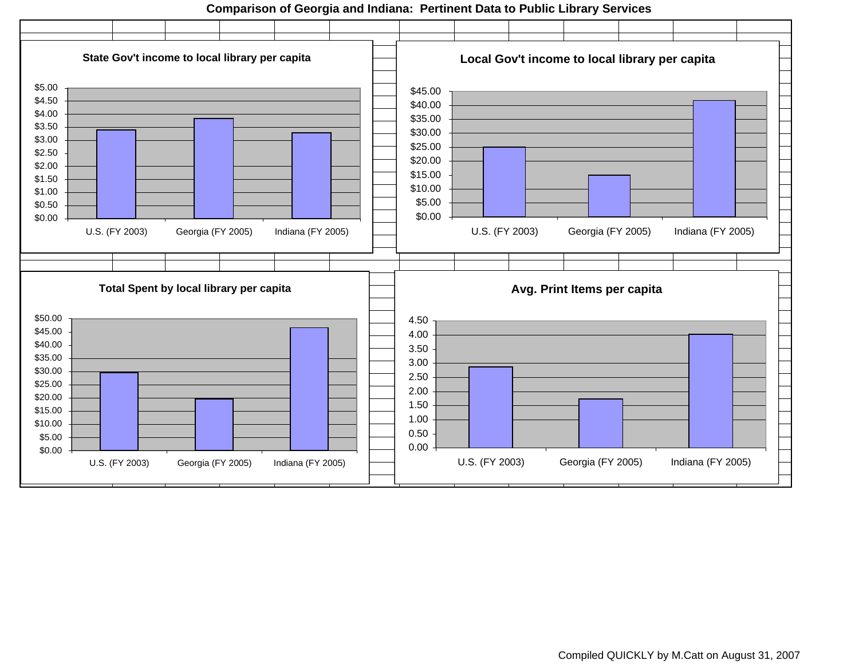**Comparison of Georgia and Indiana: Pertinent Data to Public Library Services**